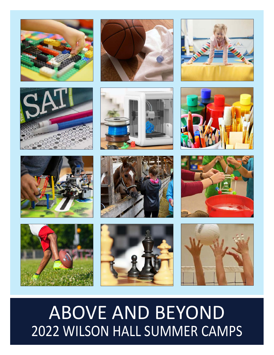























# **ABOVE AND BEYOND** 2022 WILSON HALL SUMMER CAMPS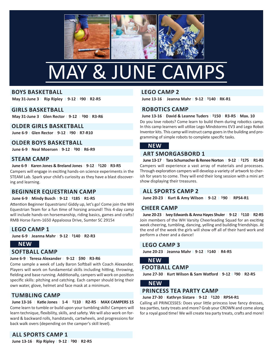

# mAy & June CAmps

### **Boys BasketBall**

**May 31-June 3** <sup>|</sup>**Rip Ripley** | **9-12** <sup>|</sup>**\$90** <sup>|</sup>**R2-R5**

### **GiRls BasketBall**

**May 31-June 3** <sup>|</sup>**Glen Rector** <sup>|</sup>**9-12** | **\$90** <sup>|</sup>**R3-R6**

### **oldeR GiRls BasketBall**

**June 6-9** <sup>|</sup>**Glen Rector** <sup>|</sup>**9-12** <sup>|</sup>**\$90** <sup>|</sup>**R7-R10**

### **oldeR Boys BasketBall**

**June 6-9** <sup>|</sup>**Neal Moersen** <sup>|</sup>**9-12** <sup>|</sup>**\$90** <sup>|</sup>**R6-R9**

### **steaM CaMp**

### **June 6-9** <sup>|</sup>**karen Jones & Breland Jones** <sup>|</sup>**9-12** <sup>|</sup>**\$120** <sup>|</sup>**R3-R5**

Campers will engage in exciting hands-on science experiments in the sTeAm lab. spark your child's curiosity as they have a blast discovering and learning.

# **BeGiNNeR equestRiaN CaMp**

### **June 6-9** <sup>|</sup>**Mindy Busch** <sup>|</sup>**9-12** <sup>|</sup>**\$185** <sup>|</sup>**R1-R5**

Attention Beginner Equestrians! Giddy up, let's go! Come join the WH equestrian Team for a fun time of horsing around! This 4-day camp will include hands-on horsemanship, riding basics, games and crafts! RMB Horse Farm-1650 Appaloosa Drive, Sumter SC 29154

### **leGo CaMp 1**

**June 6-9** <sup>|</sup>**Jeanna Mahr** <sup>|</sup>**9-12** <sup>|</sup>**\$140** <sup>|</sup>**R2-R3**

### **NeW**

### **softBall CaMp**

### **June 6-9** <sup>|</sup>**teresa alexander** <sup>|</sup>**9-12** <sup>|</sup>**\$90** <sup>|</sup>**R3-R6**

Come sample a week of lady baron softball with Coach Alexander. players will work on fundamental skills including hitting, throwing, fielding and base running. Additionally, campers will work on position specific skills: pitching and catching. Each camper should bring their own water, glove, helmet and face mask at a minimum.

### **tuMBliNG CaMp**

**June 13-16** | **katie Jones** <sup>|</sup>**1-4** <sup>|</sup>**\$110** <sup>|</sup>**R2-R5** <sup>|</sup>**MaX CaMpeRs 15** Come learn to tumble or build upon your tumbling skills! Campers will learn technique, flexibility, skills, and safety. We will also work on forward & backward rolls, handstands, cartwheels, and progressions for back walk overs (depending on the camper's skill level).

### **leGo CaMp 2**

**June 13-16** <sup>|</sup>**Jeanna Mahr** <sup>|</sup>**9-12** <sup>|</sup>**\$140** <sup>|</sup>**Rk-R1**

# **RoBotiCs CaMp**

### **June 13-16** <sup>|</sup>**david & leanne tuders** <sup>|</sup>**\$150** <sup>|</sup>**R3-R5** <sup>|</sup>**Max. 10**

Do you love robots? Come learn to build them during robotics camp. In this camp learners will utilize Lego Mindstorms EV3 and Lego Robot inventor kits. This camp will instruct camp goers in the building and programming of simple robots to complete specific tasks.

### **NeW**

# **aRt sMoRGasBoRd 1**

**June 13-17** <sup>|</sup>**tara schumacher & Renee Norton** <sup>|</sup>**9-12** <sup>|</sup>**\$175** <sup>|</sup>**R1-R3** Campers will experience a vast array of materials and processes. Through exploration campers will develop a variety of artwork to cherish for years to come. They will end their long session with a mini art show displaying their treasures.

# **all spoRts CaMp 2**

**June 20-23** <sup>|</sup>**kurt & amy Wilson** <sup>|</sup>**9-12** <sup>|</sup>**\$90** <sup>|</sup>**Rps4-R1**

### **CheeR CaMp**

**June 20-23** <sup>|</sup>**ivey edwards & anna hayes shuler** <sup>|</sup>**9-12** <sup>|</sup>**\$110** <sup>|</sup>**R2-R5** Join members of the WH varsity Cheerleading squad for an exciting week cheering, tumbling, dancing, yelling and building friendships. At the end of the week the girls will show off all of their hard work and perform a cheer and a dance!

### **leGo CaMp 3**

**June 20-23** <sup>|</sup>**Jeanna Mahr** <sup>|</sup>**9-12** <sup>|</sup>**\$140** | **R4-R5**

# **NeW**

### **footBall CaMp**

**June 27-30** <sup>|</sup>**kurt Wilson & sam Watford** <sup>|</sup>**9-12** <sup>|</sup>**\$90** <sup>|</sup>**R2-R5**

### **NeW**

### **pRiNCess tea paRty CaMp**

#### **June 27-30** | **kathryn sistare** | **9-12** | **\$120** | **Rps4-R1**

Calling all PRINCESSES: Does your little princess love fancy dresses, tea parties, tasty treats and more? Grab your CROWN and come along for a royal good time! We will create tea party treats, crafts and more!

# **all spoRts CaMp 1**

**June 13-16** <sup>|</sup>**Rip Ripley** <sup>|</sup>**9-12** <sup>|</sup>**\$90** <sup>|</sup>**R2-R5**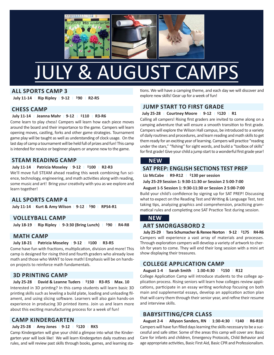

# JULY & AUGUST CAMPS

# **all spoRts CaMp 3**

**July 11-14** | **Rip Ripley** | **9-12** | **\$90** | **R2-R5**

### **Chess CaMp**

### **July 11-14** | **Jeanna Mahr** | **9-12** | **\$110** | **R3-R6**

Come learn to play chess! Campers will learn how each piece moves around the board and their importance to the game. Campers will learn opening moves, castling, forks and other game strategies. Tournament game play will be taught as well as understanding of clock usage. On the last day of camp a tournament will be held full of prizes and fun! This camp is intended for novice or beginner players or anyone new to the game.

# **steaM ReadiNG CaMp**

### **July 11-14** | **patricia Moseley** | **9-12** | **\$100** | **R2-R3**

We'll move full sTeAm ahead reading this week combining fun science, technology, engineering, and math activities along with reading, some music and art! Bring your creativity with you as we explore and learn together!

### **all spoRts CaMp 4**

**July 11-14** <sup>|</sup>**kurt & amy Wilson** <sup>|</sup>**9-12** <sup>|</sup>**\$90** <sup>|</sup>**Rps4-R1**

# **VolleyBall CaMp**

**July 18-19** | **Rip Ripley** | **9-3:30 (Bring lunch)** | **\$90** | **R4-R8**

### **Math CaMp**

### **July 18-21** | **patricia Moseley** | **9-12** | **\$100** | **R3-R5**

Come have fun with fractions, multiplication, division and more! This camp is designed for rising third and fourth graders who already love math and those who WANT to love math! Emphasis will be on handson projects to reinforce math fundamentals.

# **3d pRiNtiNG CaMp**

#### **July 25-28** | **david & leanne tuders** | **\$150** <sup>|</sup>**R3-R5** | **Max. 10**

Interested in 3D printing? In this camp students will learn basic 3D printing skills such as leveling a build plate, loading and unloading filament, and using slicing software. learners will also gain hands-on experience in producing 3D printed items. Join us and learn more about this exciting manufacturing process for a week of fun!

# **CaMp kiNdeRGaRteN**

### **July 25-28** | **amy Jones** | **9-12** | **\$120** | **Rk5**

Camp Kindergarten will give your child a glimpse into what the Kindergarten year will look like! We will learn Kindergarten daily routines and rules, and will review past skills through books, games, and learning stations. We will have a camping theme, and each day we will discover and explore new skills! Gear up for a week of fun!

# **JuMp staRt to fiRst GRade**

### **July 25-28** | **Courtney Moore** | **9-12** | **\$120** | **R1**

Calling all campers! Rising first graders are invited to come along on a camping adventure that will ensure a smooth transition to first grade. Campers will explore the Wilson Hall campus, be introduced to a variety of daily routines and procedures, and learn reading and math skills to get them ready for an exciting year of learning. Campers will practice "reading under the stars," "fishing" for sight words, and build a "toolbox of skills" for first grade! Give your child a jump start to a wonderful first grade year!

### **NeW**

### **sat pRep: eNGlish seCtioNs test pRep**

**liz McCabe** | **R9-R12** | **\$130 per session**

**July 25-29 session 1: 9:30-11:30 or session 2 5:00-7:00**

### **august 1-5 session 1: 9:30-11:30 or session 2 5:00-7:00**

Build your child's confidence by signing up for SAT PREP! Discussing what to expect on the Reading Test and Writing & Language Test, test taking tips, analyzing graphics and comprehension, practicing grammatical rules and completing one sAT practice Test during session.

# **NeW**

### **aRt sMoRGasBoRd 2**

**July 25-29** | **tara schumacher & Renee Norton** <sup>|</sup>**9-12** <sup>|</sup>**\$175** <sup>|</sup>**R4-R6** Campers will experience a vast array of materials and processes. Through exploration campers will develop a variety of artwork to cherish for years to come. They will end their long session with a mini art show displaying their treasures.

# **ColleGe appliCatioN CaMp**

### **august 1-4** | **sarah smith** | **1:30-4:30** | **\$150** | **R12**

College Application Camp will introduce students to the college application process. Rising seniors will learn how colleges review applications, participate in an essay writing workshop focusing on both main and supplemental essays, develop an application action plan that will carry them through their senior year, and refine their resume and interview skills.

# **BaBysittiNG/CpR Class**

**august 2-4** | **allyson sanders, RN** | **1:30-4:30** | **\$140** | **R6-R10** Campers will have fun filled days learning the skills necessary to be a successful and safe sitter. some of the areas this camp will cover are: basic Care for infants and children, Emergency Protocols, Child Behavior and age appropriate activities, Basic First Aid, Basic CPR and Professionalism.